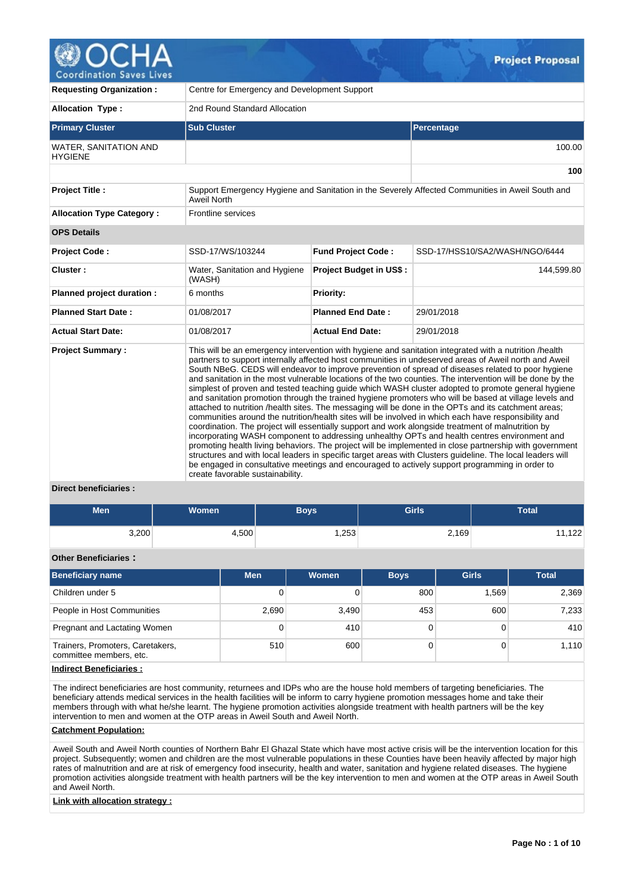

| <b>Requesting Organization:</b>                | Centre for Emergency and Development Support |                                |                                                                                                                                                                                                                                                                                                                                                                                                                                                                                                                                                                                                                                                                                                                                                                                                                                                                                                                                                                                                                                                                                                                                                                                                                                                                                                                                                                                                     |  |  |  |  |  |
|------------------------------------------------|----------------------------------------------|--------------------------------|-----------------------------------------------------------------------------------------------------------------------------------------------------------------------------------------------------------------------------------------------------------------------------------------------------------------------------------------------------------------------------------------------------------------------------------------------------------------------------------------------------------------------------------------------------------------------------------------------------------------------------------------------------------------------------------------------------------------------------------------------------------------------------------------------------------------------------------------------------------------------------------------------------------------------------------------------------------------------------------------------------------------------------------------------------------------------------------------------------------------------------------------------------------------------------------------------------------------------------------------------------------------------------------------------------------------------------------------------------------------------------------------------------|--|--|--|--|--|
| <b>Allocation Type:</b>                        | 2nd Round Standard Allocation                |                                |                                                                                                                                                                                                                                                                                                                                                                                                                                                                                                                                                                                                                                                                                                                                                                                                                                                                                                                                                                                                                                                                                                                                                                                                                                                                                                                                                                                                     |  |  |  |  |  |
| <b>Primary Cluster</b>                         | <b>Sub Cluster</b>                           |                                | Percentage                                                                                                                                                                                                                                                                                                                                                                                                                                                                                                                                                                                                                                                                                                                                                                                                                                                                                                                                                                                                                                                                                                                                                                                                                                                                                                                                                                                          |  |  |  |  |  |
| <b>WATER, SANITATION AND</b><br><b>HYGIENE</b> |                                              |                                | 100.00                                                                                                                                                                                                                                                                                                                                                                                                                                                                                                                                                                                                                                                                                                                                                                                                                                                                                                                                                                                                                                                                                                                                                                                                                                                                                                                                                                                              |  |  |  |  |  |
|                                                |                                              |                                | 100                                                                                                                                                                                                                                                                                                                                                                                                                                                                                                                                                                                                                                                                                                                                                                                                                                                                                                                                                                                                                                                                                                                                                                                                                                                                                                                                                                                                 |  |  |  |  |  |
| <b>Project Title:</b>                          | Aweil North                                  |                                | Support Emergency Hygiene and Sanitation in the Severely Affected Communities in Aweil South and                                                                                                                                                                                                                                                                                                                                                                                                                                                                                                                                                                                                                                                                                                                                                                                                                                                                                                                                                                                                                                                                                                                                                                                                                                                                                                    |  |  |  |  |  |
| <b>Allocation Type Category:</b>               | Frontline services                           |                                |                                                                                                                                                                                                                                                                                                                                                                                                                                                                                                                                                                                                                                                                                                                                                                                                                                                                                                                                                                                                                                                                                                                                                                                                                                                                                                                                                                                                     |  |  |  |  |  |
| <b>OPS Details</b>                             |                                              |                                |                                                                                                                                                                                                                                                                                                                                                                                                                                                                                                                                                                                                                                                                                                                                                                                                                                                                                                                                                                                                                                                                                                                                                                                                                                                                                                                                                                                                     |  |  |  |  |  |
| <b>Project Code:</b>                           | SSD-17/WS/103244                             | <b>Fund Project Code:</b>      | SSD-17/HSS10/SA2/WASH/NGO/6444                                                                                                                                                                                                                                                                                                                                                                                                                                                                                                                                                                                                                                                                                                                                                                                                                                                                                                                                                                                                                                                                                                                                                                                                                                                                                                                                                                      |  |  |  |  |  |
| Cluster:                                       | Water, Sanitation and Hygiene<br>(WASH)      | <b>Project Budget in US\$:</b> | 144,599.80                                                                                                                                                                                                                                                                                                                                                                                                                                                                                                                                                                                                                                                                                                                                                                                                                                                                                                                                                                                                                                                                                                                                                                                                                                                                                                                                                                                          |  |  |  |  |  |
| Planned project duration :                     | 6 months                                     | <b>Priority:</b>               |                                                                                                                                                                                                                                                                                                                                                                                                                                                                                                                                                                                                                                                                                                                                                                                                                                                                                                                                                                                                                                                                                                                                                                                                                                                                                                                                                                                                     |  |  |  |  |  |
| <b>Planned Start Date:</b>                     | 01/08/2017                                   | <b>Planned End Date:</b>       | 29/01/2018                                                                                                                                                                                                                                                                                                                                                                                                                                                                                                                                                                                                                                                                                                                                                                                                                                                                                                                                                                                                                                                                                                                                                                                                                                                                                                                                                                                          |  |  |  |  |  |
| <b>Actual Start Date:</b>                      | 01/08/2017                                   | <b>Actual End Date:</b>        | 29/01/2018                                                                                                                                                                                                                                                                                                                                                                                                                                                                                                                                                                                                                                                                                                                                                                                                                                                                                                                                                                                                                                                                                                                                                                                                                                                                                                                                                                                          |  |  |  |  |  |
| <b>Project Summary:</b>                        | create favorable sustainability.             |                                | This will be an emergency intervention with hygiene and sanitation integrated with a nutrition /health<br>partners to support internally affected host communities in undeserved areas of Aweil north and Aweil<br>South NBeG. CEDS will endeavor to improve prevention of spread of diseases related to poor hygiene<br>and sanitation in the most vulnerable locations of the two counties. The intervention will be done by the<br>simplest of proven and tested teaching guide which WASH cluster adopted to promote general hygiene<br>and sanitation promotion through the trained hygiene promoters who will be based at village levels and<br>attached to nutrition /health sites. The messaging will be done in the OPTs and its catchment areas;<br>communities around the nutrition/health sites will be involved in which each have responsibility and<br>coordination. The project will essentially support and work alongside treatment of malnutrition by<br>incorporating WASH component to addressing unhealthy OPTs and health centres environment and<br>promoting health living behaviors. The project will be implemented in close partnership with government<br>structures and with local leaders in specific target areas with Clusters quideline. The local leaders will<br>be engaged in consultative meetings and encouraged to actively support programming in order to |  |  |  |  |  |

# **Direct beneficiaries :**

| <b>Men</b> | <b>Women</b> | <b>Boys</b> | <b>Girls</b> | <b>Total</b> |
|------------|--------------|-------------|--------------|--------------|
| 3,200      | 4,500        | ,253        | 2,169        | ,122         |

# **Other Beneficiaries :**

| Beneficiary name                                            | <b>Men</b> | <b>Women</b> | <b>Boys</b> | <b>Girls</b> | <b>Total</b> |
|-------------------------------------------------------------|------------|--------------|-------------|--------------|--------------|
| Children under 5                                            | 0          |              | 800         | 1.569        | 2,369        |
| People in Host Communities                                  | 2,690      | 3,490        | 453         | 600          | 7,233        |
| Pregnant and Lactating Women                                | 0          | 410          |             |              | 410          |
| Trainers, Promoters, Caretakers,<br>committee members, etc. | 510        | 600          |             |              | 1.110        |

# **Indirect Beneficiaries :**

The indirect beneficiaries are host community, returnees and IDPs who are the house hold members of targeting beneficiaries. The beneficiary attends medical services in the health facilities will be inform to carry hygiene promotion messages home and take their members through with what he/she learnt. The hygiene promotion activities alongside treatment with health partners will be the key intervention to men and women at the OTP areas in Aweil South and Aweil North.

# **Catchment Population:**

Aweil South and Aweil North counties of Northern Bahr El Ghazal State which have most active crisis will be the intervention location for this project. Subsequently; women and children are the most vulnerable populations in these Counties have been heavily affected by major high rates of malnutrition and are at risk of emergency food insecurity, health and water, sanitation and hygiene related diseases. The hygiene promotion activities alongside treatment with health partners will be the key intervention to men and women at the OTP areas in Aweil South and Aweil North.

#### **Link with allocation strategy :**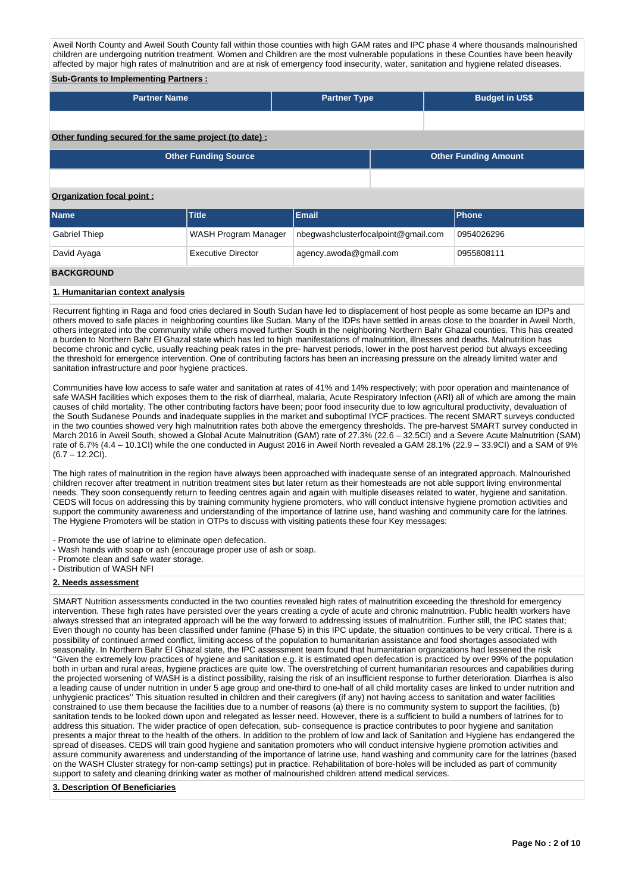Aweil North County and Aweil South County fall within those counties with high GAM rates and IPC phase 4 where thousands malnourished children are undergoing nutrition treatment. Women and Children are the most vulnerable populations in these Counties have been heavily affected by major high rates of malnutrition and are at risk of emergency food insecurity, water, sanitation and hygiene related diseases.

### **Sub-Grants to Implementing Partners :**

| <b>Partner Name</b> | <b>Partner Type</b> | <b>Budget in US\$</b> |
|---------------------|---------------------|-----------------------|
|                     |                     |                       |
| .<br>.              |                     |                       |

# **Other funding secured for the same project (to date) :**

| <b>Other Funding Source</b> | <b>Other Funding Amount</b> |
|-----------------------------|-----------------------------|
|                             |                             |

### **Organization focal point :**

| <b>Name</b>          | <b>Title</b>         | Email                               | <b>Phone</b> |
|----------------------|----------------------|-------------------------------------|--------------|
| <b>Gabriel Thiep</b> | WASH Program Manager | nbegwashclusterfocalpoint@gmail.com | 0954026296   |
| David Ayaga          | Executive Director   | agency.awoda@gmail.com              | 0955808111   |
| <b>BACKGROUND</b>    |                      |                                     |              |

### **1. Humanitarian context analysis**

Recurrent fighting in Raga and food cries declared in South Sudan have led to displacement of host people as some became an IDPs and others moved to safe places in neighboring counties like Sudan. Many of the IDPs have settled in areas close to the boarder in Aweil North, others integrated into the community while others moved further South in the neighboring Northern Bahr Ghazal counties. This has created a burden to Northern Bahr El Ghazal state which has led to high manifestations of malnutrition, illnesses and deaths. Malnutrition has become chronic and cyclic, usually reaching peak rates in the pre- harvest periods, lower in the post harvest period but always exceeding the threshold for emergence intervention. One of contributing factors has been an increasing pressure on the already limited water and sanitation infrastructure and poor hygiene practices.

Communities have low access to safe water and sanitation at rates of 41% and 14% respectively; with poor operation and maintenance of safe WASH facilities which exposes them to the risk of diarrheal, malaria, Acute Respiratory Infection (ARI) all of which are among the main causes of child mortality. The other contributing factors have been; poor food insecurity due to low agricultural productivity, devaluation of the South Sudanese Pounds and inadequate supplies in the market and suboptimal IYCF practices. The recent SMART surveys conducted in the two counties showed very high malnutrition rates both above the emergency thresholds. The pre-harvest SMART survey conducted in March 2016 in Aweil South, showed a Global Acute Malnutrition (GAM) rate of 27.3% (22.6 – 32.5CI) and a Severe Acute Malnutrition (SAM) rate of 6.7% (4.4 – 10.1CI) while the one conducted in August 2016 in Aweil North revealed a GAM 28.1% (22.9 – 33.9CI) and a SAM of 9% (6.7 – 12.2CI).

The high rates of malnutrition in the region have always been approached with inadequate sense of an integrated approach. Malnourished children recover after treatment in nutrition treatment sites but later return as their homesteads are not able support living environmental needs. They soon consequently return to feeding centres again and again with multiple diseases related to water, hygiene and sanitation. CEDS will focus on addressing this by training community hygiene promoters, who will conduct intensive hygiene promotion activities and support the community awareness and understanding of the importance of latrine use, hand washing and community care for the latrines. The Hygiene Promoters will be station in OTPs to discuss with visiting patients these four Key messages:

- Promote the use of latrine to eliminate open defecation.

- Wash hands with soap or ash (encourage proper use of ash or soap.
- Promote clean and safe water storage.
- Distribution of WASH NFI

#### **2. Needs assessment**

SMART Nutrition assessments conducted in the two counties revealed high rates of malnutrition exceeding the threshold for emergency intervention. These high rates have persisted over the years creating a cycle of acute and chronic malnutrition. Public health workers have always stressed that an integrated approach will be the way forward to addressing issues of malnutrition. Further still, the IPC states that; Even though no county has been classified under famine (Phase 5) in this IPC update, the situation continues to be very critical. There is a possibility of continued armed conflict, limiting access of the population to humanitarian assistance and food shortages associated with seasonality. In Northern Bahr El Ghazal state, the IPC assessment team found that humanitarian organizations had lessened the risk ''Given the extremely low practices of hygiene and sanitation e.g. it is estimated open defecation is practiced by over 99% of the population both in urban and rural areas, hygiene practices are quite low. The overstretching of current humanitarian resources and capabilities during the projected worsening of WASH is a distinct possibility, raising the risk of an insufficient response to further deterioration. Diarrhea is also a leading cause of under nutrition in under 5 age group and one-third to one-half of all child mortality cases are linked to under nutrition and unhygienic practices'' This situation resulted in children and their caregivers (if any) not having access to sanitation and water facilities constrained to use them because the facilities due to a number of reasons (a) there is no community system to support the facilities, (b) sanitation tends to be looked down upon and relegated as lesser need. However, there is a sufficient to build a numbers of latrines for to address this situation. The wider practice of open defecation, sub- consequence is practice contributes to poor hygiene and sanitation presents a major threat to the health of the others. In addition to the problem of low and lack of Sanitation and Hygiene has endangered the spread of diseases. CEDS will train good hygiene and sanitation promoters who will conduct intensive hygiene promotion activities and assure community awareness and understanding of the importance of latrine use, hand washing and community care for the latrines (based on the WASH Cluster strategy for non-camp settings) put in practice. Rehabilitation of bore-holes will be included as part of community support to safety and cleaning drinking water as mother of malnourished children attend medical services.

### **3. Description Of Beneficiaries**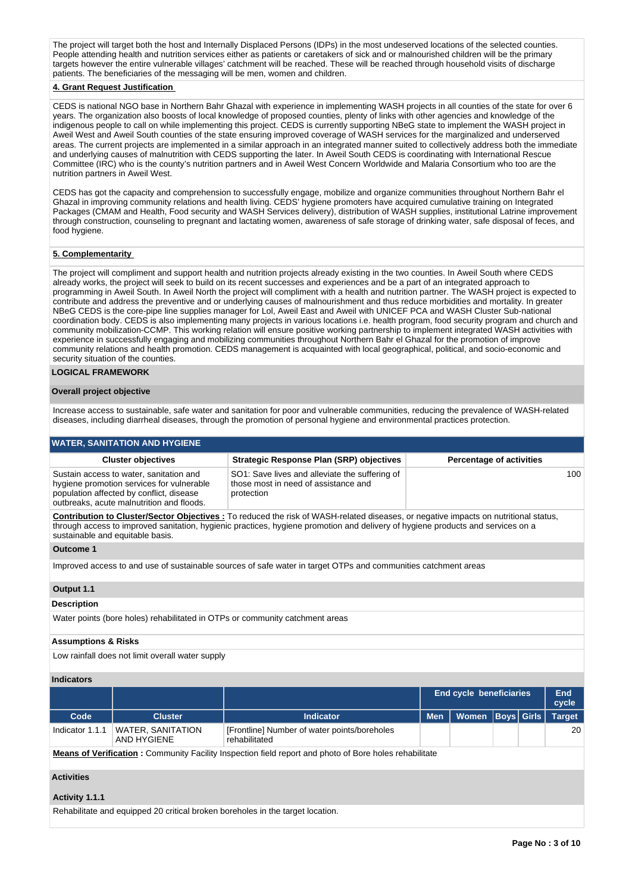The project will target both the host and Internally Displaced Persons (IDPs) in the most undeserved locations of the selected counties. People attending health and nutrition services either as patients or caretakers of sick and or malnourished children will be the primary targets however the entire vulnerable villages' catchment will be reached. These will be reached through household visits of discharge patients. The beneficiaries of the messaging will be men, women and children.

### **4. Grant Request Justification**

CEDS is national NGO base in Northern Bahr Ghazal with experience in implementing WASH projects in all counties of the state for over 6 years. The organization also boosts of local knowledge of proposed counties, plenty of links with other agencies and knowledge of the indigenous people to call on while implementing this project. CEDS is currently supporting NBeG state to implement the WASH project in Aweil West and Aweil South counties of the state ensuring improved coverage of WASH services for the marginalized and underserved areas. The current projects are implemented in a similar approach in an integrated manner suited to collectively address both the immediate and underlying causes of malnutrition with CEDS supporting the later. In Aweil South CEDS is coordinating with International Rescue Committee (IRC) who is the county's nutrition partners and in Aweil West Concern Worldwide and Malaria Consortium who too are the nutrition partners in Aweil West.

CEDS has got the capacity and comprehension to successfully engage, mobilize and organize communities throughout Northern Bahr el Ghazal in improving community relations and health living. CEDS' hygiene promoters have acquired cumulative training on Integrated Packages (CMAM and Health, Food security and WASH Services delivery), distribution of WASH supplies, institutional Latrine improvement through construction, counseling to pregnant and lactating women, awareness of safe storage of drinking water, safe disposal of feces, and food hygiene.

#### **5. Complementarity**

The project will compliment and support health and nutrition projects already existing in the two counties. In Aweil South where CEDS already works, the project will seek to build on its recent successes and experiences and be a part of an integrated approach to programming in Aweil South. In Aweil North the project will compliment with a health and nutrition partner. The WASH project is expected to contribute and address the preventive and or underlying causes of malnourishment and thus reduce morbidities and mortality. In greater NBeG CEDS is the core-pipe line supplies manager for Lol, Aweil East and Aweil with UNICEF PCA and WASH Cluster Sub-national coordination body. CEDS is also implementing many projects in various locations i.e. health program, food security program and church and community mobilization-CCMP. This working relation will ensure positive working partnership to implement integrated WASH activities with experience in successfully engaging and mobilizing communities throughout Northern Bahr el Ghazal for the promotion of improve community relations and health promotion. CEDS management is acquainted with local geographical, political, and socio-economic and security situation of the counties.

#### **LOGICAL FRAMEWORK**

#### **Overall project objective**

Increase access to sustainable, safe water and sanitation for poor and vulnerable communities, reducing the prevalence of WASH-related diseases, including diarrheal diseases, through the promotion of personal hygiene and environmental practices protection.

### **WATER, SANITATION AND HYGIENE**

| <b>Cluster objectives</b>                                                                                                                                                     | <b>Strategic Response Plan (SRP) objectives</b>                                                      | <b>Percentage of activities</b> |
|-------------------------------------------------------------------------------------------------------------------------------------------------------------------------------|------------------------------------------------------------------------------------------------------|---------------------------------|
| Sustain access to water, sanitation and<br>hygiene promotion services for vulnerable<br>population affected by conflict, disease<br>outbreaks, acute malnutrition and floods. | SO1: Save lives and alleviate the suffering of<br>those most in need of assistance and<br>protection | 100                             |

**Contribution to Cluster/Sector Objectives :** To reduced the risk of WASH-related diseases, or negative impacts on nutritional status, through access to improved sanitation, hygienic practices, hygiene promotion and delivery of hygiene products and services on a sustainable and equitable basis.

#### **Outcome 1**

Improved access to and use of sustainable sources of safe water in target OTPs and communities catchment areas

#### **Output 1.1**

#### **Description**

Water points (bore holes) rehabilitated in OTPs or community catchment areas

### **Assumptions & Risks**

Low rainfall does not limit overall water supply

### **Indicators**

|                                                                                                               |                                         |                                                               |            | <b>End cycle beneficiaries</b> |  |  |               |  |  |  |
|---------------------------------------------------------------------------------------------------------------|-----------------------------------------|---------------------------------------------------------------|------------|--------------------------------|--|--|---------------|--|--|--|
| Code                                                                                                          | <b>Cluster</b>                          | <b>Indicator</b>                                              | <b>Men</b> | Women Boys Girls               |  |  | <b>Target</b> |  |  |  |
| Indicator 1.1.1                                                                                               | <b>WATER, SANITATION</b><br>AND HYGIENE | [Frontline] Number of water points/boreholes<br>rehabilitated |            |                                |  |  | 20            |  |  |  |
| <b>Means of Verification:</b> Community Facility Inspection field report and photo of Bore holes rehabilitate |                                         |                                                               |            |                                |  |  |               |  |  |  |

### **Activities**

### **Activity 1.1.1**

Rehabilitate and equipped 20 critical broken boreholes in the target location.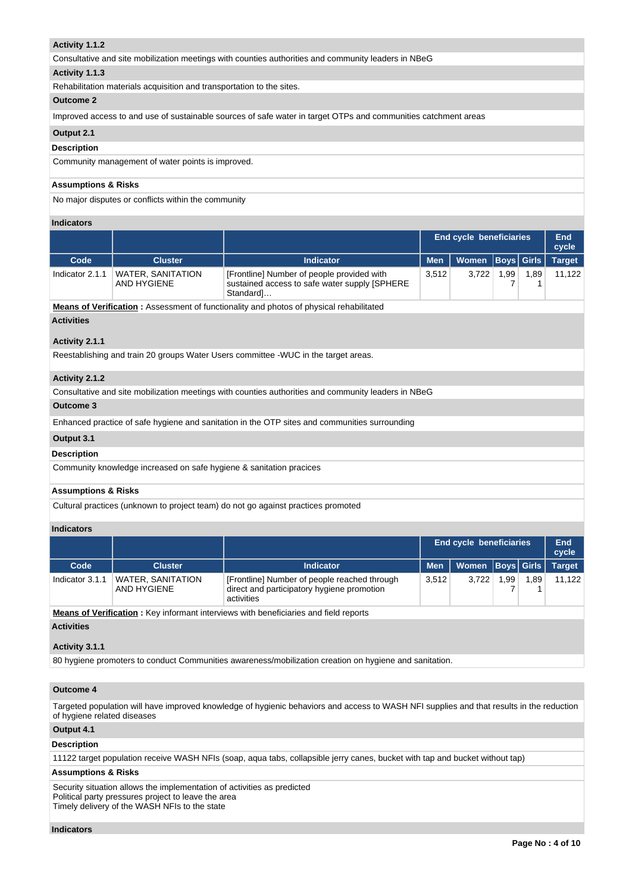# **Activity 1.1.2**

Consultative and site mobilization meetings with counties authorities and community leaders in NBeG

### **Activity 1.1.3**

Rehabilitation materials acquisition and transportation to the sites.

### **Outcome 2**

Improved access to and use of sustainable sources of safe water in target OTPs and communities catchment areas

# **Output 2.1**

### **Description**

Community management of water points is improved.

### **Assumptions & Risks**

No major disputes or conflicts within the community

### **Indicators**

|                                                                                    |                                         |                                                                                                           | <b>End cycle beneficiaries</b> |              |                   |      | <b>End</b><br>cycle |
|------------------------------------------------------------------------------------|-----------------------------------------|-----------------------------------------------------------------------------------------------------------|--------------------------------|--------------|-------------------|------|---------------------|
| Code                                                                               | <b>Cluster</b>                          | <b>Indicator</b>                                                                                          | <b>Men</b>                     | <b>Women</b> | <b>Boys</b> Girls |      | <b>Target</b>       |
| Indicator 2.1.1                                                                    | <b>WATER, SANITATION</b><br>AND HYGIENE | [Frontline] Number of people provided with<br>sustained access to safe water supply [SPHERE]<br>Standard] | 3,512                          | 3,722        | 1,99              | 1,89 | 11.122              |
|                                                                                    |                                         | <b>Means of Verification:</b> Assessment of functionality and photos of physical rehabilitated            |                                |              |                   |      |                     |
| <b>Activities</b>                                                                  |                                         |                                                                                                           |                                |              |                   |      |                     |
| Activity 2.1.1                                                                     |                                         |                                                                                                           |                                |              |                   |      |                     |
| Reestablishing and train 20 groups Water Users committee -WUC in the target areas. |                                         |                                                                                                           |                                |              |                   |      |                     |

# **Activity 2.1.2**

Consultative and site mobilization meetings with counties authorities and community leaders in NBeG

# **Outcome 3**

Enhanced practice of safe hygiene and sanitation in the OTP sites and communities surrounding

# **Output 3.1**

# **Description**

Community knowledge increased on safe hygiene & sanitation pracices

### **Assumptions & Risks**

Cultural practices (unknown to project team) do not go against practices promoted

# **Indicators**

|                                                                                       |                                  |                                                                                                          |       | End cycle beneficiaries |      |      |               |  |
|---------------------------------------------------------------------------------------|----------------------------------|----------------------------------------------------------------------------------------------------------|-------|-------------------------|------|------|---------------|--|
| Code                                                                                  | <b>Cluster</b>                   | <b>Men</b><br><b>Indicator</b>                                                                           |       | Women   Boys   Girls    |      |      | <b>Target</b> |  |
| Indicator 3.1.1                                                                       | WATER, SANITATION<br>AND HYGIENE | [Frontline] Number of people reached through<br>direct and participatory hygiene promotion<br>activities | 3.512 | 3.722                   | ∣.99 | 1.89 | 11.122        |  |
| Means of Verification : Key informant interviews with beneficiaries and field reports |                                  |                                                                                                          |       |                         |      |      |               |  |

**Means of Verification :** Key informant interviews with beneficiaries and field reports

# **Activities**

# **Activity 3.1.1**

80 hygiene promoters to conduct Communities awareness/mobilization creation on hygiene and sanitation.

# **Outcome 4**

Targeted population will have improved knowledge of hygienic behaviors and access to WASH NFI supplies and that results in the reduction of hygiene related diseases

# **Output 4.1**

# **Description**

11122 target population receive WASH NFIs (soap, aqua tabs, collapsible jerry canes, bucket with tap and bucket without tap)

# **Assumptions & Risks**

Security situation allows the implementation of activities as predicted Political party pressures project to leave the area Timely delivery of the WASH NFIs to the state

#### **Indicators**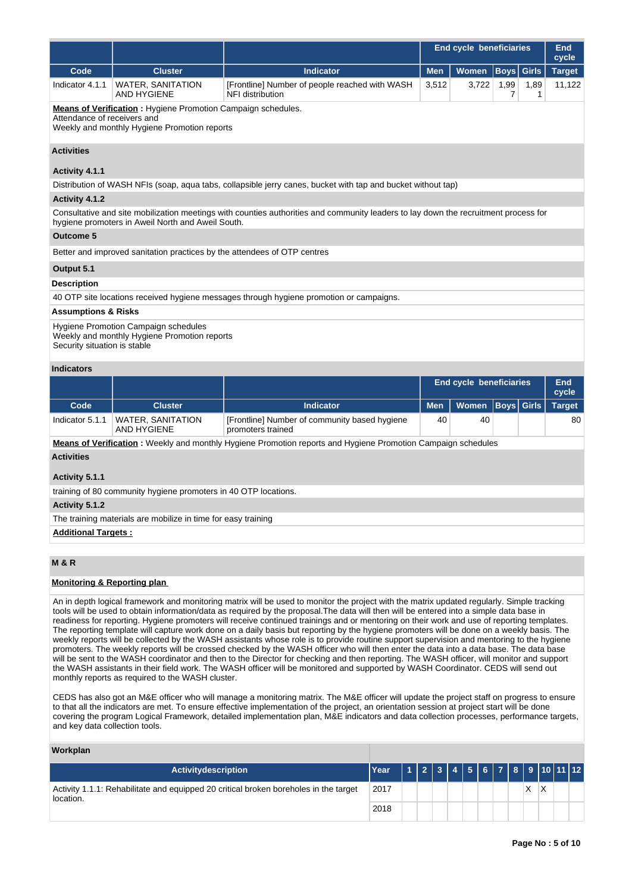|                                                                                                                                                    |                                                                                      |                                                                                                                                     | <b>End cycle beneficiaries</b> | <b>End</b><br>cycle            |                   |                   |               |  |  |
|----------------------------------------------------------------------------------------------------------------------------------------------------|--------------------------------------------------------------------------------------|-------------------------------------------------------------------------------------------------------------------------------------|--------------------------------|--------------------------------|-------------------|-------------------|---------------|--|--|
| Code                                                                                                                                               | <b>Cluster</b>                                                                       | <b>Indicator</b>                                                                                                                    | <b>Men</b>                     | Women                          |                   | <b>Boys</b> Girls | <b>Target</b> |  |  |
| Indicator 4.1.1                                                                                                                                    | <b>WATER, SANITATION</b><br><b>AND HYGIENE</b>                                       | [Frontline] Number of people reached with WASH<br>NFI distribution                                                                  | 3,512                          | 3.722                          | 1,99<br>7         | 1,89<br>1         | 11,122        |  |  |
| <b>Means of Verification:</b> Hygiene Promotion Campaign schedules.<br>Attendance of receivers and<br>Weekly and monthly Hygiene Promotion reports |                                                                                      |                                                                                                                                     |                                |                                |                   |                   |               |  |  |
| <b>Activities</b>                                                                                                                                  |                                                                                      |                                                                                                                                     |                                |                                |                   |                   |               |  |  |
| Activity 4.1.1                                                                                                                                     |                                                                                      |                                                                                                                                     |                                |                                |                   |                   |               |  |  |
|                                                                                                                                                    |                                                                                      | Distribution of WASH NFIs (soap, agua tabs, collapsible jerry canes, bucket with tap and bucket without tap)                        |                                |                                |                   |                   |               |  |  |
| Activity 4.1.2                                                                                                                                     |                                                                                      |                                                                                                                                     |                                |                                |                   |                   |               |  |  |
|                                                                                                                                                    | hygiene promoters in Aweil North and Aweil South.                                    | Consultative and site mobilization meetings with counties authorities and community leaders to lay down the recruitment process for |                                |                                |                   |                   |               |  |  |
| <b>Outcome 5</b>                                                                                                                                   |                                                                                      |                                                                                                                                     |                                |                                |                   |                   |               |  |  |
|                                                                                                                                                    | Better and improved sanitation practices by the attendees of OTP centres             |                                                                                                                                     |                                |                                |                   |                   |               |  |  |
| Output 5.1                                                                                                                                         |                                                                                      |                                                                                                                                     |                                |                                |                   |                   |               |  |  |
| <b>Description</b>                                                                                                                                 |                                                                                      |                                                                                                                                     |                                |                                |                   |                   |               |  |  |
|                                                                                                                                                    |                                                                                      | 40 OTP site locations received hygiene messages through hygiene promotion or campaigns.                                             |                                |                                |                   |                   |               |  |  |
| <b>Assumptions &amp; Risks</b>                                                                                                                     |                                                                                      |                                                                                                                                     |                                |                                |                   |                   |               |  |  |
| Security situation is stable                                                                                                                       | Hygiene Promotion Campaign schedules<br>Weekly and monthly Hygiene Promotion reports |                                                                                                                                     |                                |                                |                   |                   |               |  |  |
| <b>Indicators</b>                                                                                                                                  |                                                                                      |                                                                                                                                     |                                |                                |                   |                   |               |  |  |
|                                                                                                                                                    |                                                                                      |                                                                                                                                     |                                | <b>End cycle beneficiaries</b> |                   |                   | End<br>cycle  |  |  |
| Code                                                                                                                                               | <b>Cluster</b>                                                                       | <b>Indicator</b>                                                                                                                    | <b>Men</b>                     | Women                          | <b>Boys</b> Girls |                   | <b>Target</b> |  |  |
| Indicator 5.1.1                                                                                                                                    | <b>WATER, SANITATION</b><br><b>AND HYGIENE</b>                                       | [Frontline] Number of community based hygiene<br>promoters trained                                                                  | 40                             | 40                             |                   |                   | 80            |  |  |
|                                                                                                                                                    |                                                                                      | <b>Means of Verification:</b> Weekly and monthly Hygiene Promotion reports and Hygiene Promotion Campaign schedules                 |                                |                                |                   |                   |               |  |  |
| <b>Activities</b>                                                                                                                                  |                                                                                      |                                                                                                                                     |                                |                                |                   |                   |               |  |  |
| Activity 5.1.1                                                                                                                                     |                                                                                      |                                                                                                                                     |                                |                                |                   |                   |               |  |  |
|                                                                                                                                                    | training of 80 community hygiene promoters in 40 OTP locations.                      |                                                                                                                                     |                                |                                |                   |                   |               |  |  |
| Activity 5.1.2                                                                                                                                     |                                                                                      |                                                                                                                                     |                                |                                |                   |                   |               |  |  |
|                                                                                                                                                    | The training materials are mobilize in time for easy training                        |                                                                                                                                     |                                |                                |                   |                   |               |  |  |
|                                                                                                                                                    |                                                                                      |                                                                                                                                     |                                |                                |                   |                   |               |  |  |

# **Additional Targets :**

# **M & R**

### **Monitoring & Reporting plan**

An in depth logical framework and monitoring matrix will be used to monitor the project with the matrix updated regularly. Simple tracking tools will be used to obtain information/data as required by the proposal.The data will then will be entered into a simple data base in readiness for reporting. Hygiene promoters will receive continued trainings and or mentoring on their work and use of reporting templates. The reporting template will capture work done on a daily basis but reporting by the hygiene promoters will be done on a weekly basis. The weekly reports will be collected by the WASH assistants whose role is to provide routine support supervision and mentoring to the hygiene promoters. The weekly reports will be crossed checked by the WASH officer who will then enter the data into a data base. The data base will be sent to the WASH coordinator and then to the Director for checking and then reporting. The WASH officer, will monitor and support the WASH assistants in their field work. The WASH officer will be monitored and supported by WASH Coordinator. CEDS will send out monthly reports as required to the WASH cluster.

CEDS has also got an M&E officer who will manage a monitoring matrix. The M&E officer will update the project staff on progress to ensure to that all the indicators are met. To ensure effective implementation of the project, an orientation session at project start will be done covering the program Logical Framework, detailed implementation plan, M&E indicators and data collection processes, performance targets, and key data collection tools.

# **Workplan**

| Activitydescription                                                                               | Year |  |  |  |  |              | 123456789101112 |  |
|---------------------------------------------------------------------------------------------------|------|--|--|--|--|--------------|-----------------|--|
| Activity 1.1.1: Rehabilitate and equipped 20 critical broken boreholes in the target<br>location. | 2017 |  |  |  |  | $\checkmark$ |                 |  |
|                                                                                                   | 2018 |  |  |  |  |              |                 |  |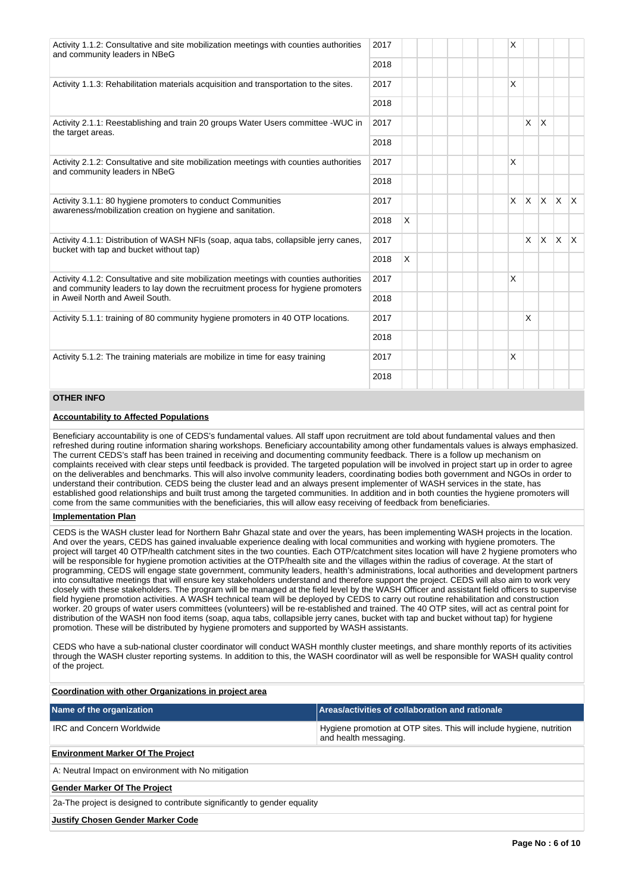| Activity 1.1.2: Consultative and site mobilization meetings with counties authorities<br>and community leaders in NBeG                                                                                      |      |   |  |  | X              |              |          |              |              |
|-------------------------------------------------------------------------------------------------------------------------------------------------------------------------------------------------------------|------|---|--|--|----------------|--------------|----------|--------------|--------------|
|                                                                                                                                                                                                             | 2018 |   |  |  |                |              |          |              |              |
| Activity 1.1.3: Rehabilitation materials acquisition and transportation to the sites.                                                                                                                       | 2017 |   |  |  | X              |              |          |              |              |
|                                                                                                                                                                                                             | 2018 |   |  |  |                |              |          |              |              |
| Activity 2.1.1: Reestablishing and train 20 groups Water Users committee - WUC in<br>the target areas.                                                                                                      |      |   |  |  |                | $\mathsf{x}$ | <b>X</b> |              |              |
|                                                                                                                                                                                                             | 2018 |   |  |  |                |              |          |              |              |
| Activity 2.1.2: Consultative and site mobilization meetings with counties authorities<br>and community leaders in NBeG                                                                                      |      |   |  |  | X              |              |          |              |              |
|                                                                                                                                                                                                             | 2018 |   |  |  |                |              |          |              |              |
| Activity 3.1.1: 80 hygiene promoters to conduct Communities<br>awareness/mobilization creation on hygiene and sanitation.                                                                                   |      |   |  |  | $\mathsf{X}^-$ | X.           |          | $X \times X$ |              |
|                                                                                                                                                                                                             |      | X |  |  |                |              |          |              |              |
| Activity 4.1.1: Distribution of WASH NFIs (soap, agua tabs, collapsible jerry canes,<br>bucket with tap and bucket without tap)                                                                             |      |   |  |  |                | $\times$     | ΙX.      | $\mathsf{X}$ | $\mathsf{X}$ |
|                                                                                                                                                                                                             |      | X |  |  |                |              |          |              |              |
| Activity 4.1.2: Consultative and site mobilization meetings with counties authorities<br>and community leaders to lay down the recruitment process for hygiene promoters<br>in Aweil North and Aweil South. |      |   |  |  | X              |              |          |              |              |
|                                                                                                                                                                                                             |      |   |  |  |                |              |          |              |              |
| Activity 5.1.1: training of 80 community hygiene promoters in 40 OTP locations.                                                                                                                             |      |   |  |  |                | X            |          |              |              |
|                                                                                                                                                                                                             |      |   |  |  |                |              |          |              |              |
| Activity 5.1.2: The training materials are mobilize in time for easy training<br>2017                                                                                                                       |      |   |  |  | X              |              |          |              |              |
|                                                                                                                                                                                                             | 2018 |   |  |  |                |              |          |              |              |

# **OTHER INFO**

### **Accountability to Affected Populations**

Beneficiary accountability is one of CEDS's fundamental values. All staff upon recruitment are told about fundamental values and then refreshed during routine information sharing workshops. Beneficiary accountability among other fundamentals values is always emphasized. The current CEDS's staff has been trained in receiving and documenting community feedback. There is a follow up mechanism on complaints received with clear steps until feedback is provided. The targeted population will be involved in project start up in order to agree on the deliverables and benchmarks. This will also involve community leaders, coordinating bodies both government and NGOs in order to understand their contribution. CEDS being the cluster lead and an always present implementer of WASH services in the state, has established good relationships and built trust among the targeted communities. In addition and in both counties the hygiene promoters will come from the same communities with the beneficiaries, this will allow easy receiving of feedback from beneficiaries.

### **Implementation Plan**

CEDS is the WASH cluster lead for Northern Bahr Ghazal state and over the years, has been implementing WASH projects in the location. And over the years, CEDS has gained invaluable experience dealing with local communities and working with hygiene promoters. The project will target 40 OTP/health catchment sites in the two counties. Each OTP/catchment sites location will have 2 hygiene promoters who will be responsible for hygiene promotion activities at the OTP/health site and the villages within the radius of coverage. At the start of programming, CEDS will engage state government, community leaders, health's administrations, local authorities and development partners into consultative meetings that will ensure key stakeholders understand and therefore support the project. CEDS will also aim to work very closely with these stakeholders. The program will be managed at the field level by the WASH Officer and assistant field officers to supervise field hygiene promotion activities. A WASH technical team will be deployed by CEDS to carry out routine rehabilitation and construction worker. 20 groups of water users committees (volunteers) will be re-established and trained. The 40 OTP sites, will act as central point for distribution of the WASH non food items (soap, aqua tabs, collapsible jerry canes, bucket with tap and bucket without tap) for hygiene promotion. These will be distributed by hygiene promoters and supported by WASH assistants.

CEDS who have a sub-national cluster coordinator will conduct WASH monthly cluster meetings, and share monthly reports of its activities through the WASH cluster reporting systems. In addition to this, the WASH coordinator will as well be responsible for WASH quality control of the project.

# **Coordination with other Organizations in project area**

| Name of the organization                                                  | Areas/activities of collaboration and rationale                                               |  |  |  |  |  |  |
|---------------------------------------------------------------------------|-----------------------------------------------------------------------------------------------|--|--|--|--|--|--|
| <b>IRC and Concern Worldwide</b>                                          | Hygiene promotion at OTP sites. This will include hygiene, nutrition<br>and health messaging. |  |  |  |  |  |  |
| <b>Environment Marker Of The Project</b>                                  |                                                                                               |  |  |  |  |  |  |
| A: Neutral Impact on environment with No mitigation                       |                                                                                               |  |  |  |  |  |  |
| <b>Gender Marker Of The Project</b>                                       |                                                                                               |  |  |  |  |  |  |
| 2a-The project is designed to contribute significantly to gender equality |                                                                                               |  |  |  |  |  |  |
| <b>Justify Chosen Gender Marker Code</b>                                  |                                                                                               |  |  |  |  |  |  |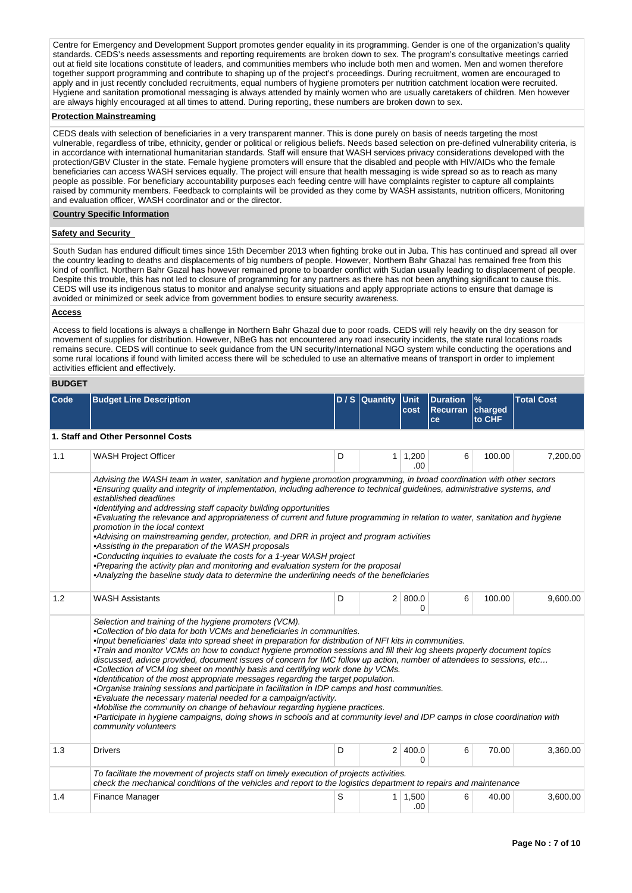Centre for Emergency and Development Support promotes gender equality in its programming. Gender is one of the organization's quality standards. CEDS's needs assessments and reporting requirements are broken down to sex. The program's consultative meetings carried out at field site locations constitute of leaders, and communities members who include both men and women. Men and women therefore together support programming and contribute to shaping up of the project's proceedings. During recruitment, women are encouraged to apply and in just recently concluded recruitments, equal numbers of hygiene promoters per nutrition catchment location were recruited. Hygiene and sanitation promotional messaging is always attended by mainly women who are usually caretakers of children. Men however are always highly encouraged at all times to attend. During reporting, these numbers are broken down to sex.

### **Protection Mainstreaming**

CEDS deals with selection of beneficiaries in a very transparent manner. This is done purely on basis of needs targeting the most vulnerable, regardless of tribe, ethnicity, gender or political or religious beliefs. Needs based selection on pre-defined vulnerability criteria, is in accordance with international humanitarian standards. Staff will ensure that WASH services privacy considerations developed with the protection/GBV Cluster in the state. Female hygiene promoters will ensure that the disabled and people with HIV/AIDs who the female beneficiaries can access WASH services equally. The project will ensure that health messaging is wide spread so as to reach as many people as possible. For beneficiary accountability purposes each feeding centre will have complaints register to capture all complaints raised by community members. Feedback to complaints will be provided as they come by WASH assistants, nutrition officers, Monitoring and evaluation officer, WASH coordinator and or the director.

#### **Country Specific Information**

#### **Safety and Security**

South Sudan has endured difficult times since 15th December 2013 when fighting broke out in Juba. This has continued and spread all over the country leading to deaths and displacements of big numbers of people. However, Northern Bahr Ghazal has remained free from this kind of conflict. Northern Bahr Gazal has however remained prone to boarder conflict with Sudan usually leading to displacement of people. Despite this trouble, this has not led to closure of programming for any partners as there has not been anything significant to cause this. CEDS will use its indigenous status to monitor and analyse security situations and apply appropriate actions to ensure that damage is avoided or minimized or seek advice from government bodies to ensure security awareness.

### **Access**

Access to field locations is always a challenge in Northern Bahr Ghazal due to poor roads. CEDS will rely heavily on the dry season for movement of supplies for distribution. However, NBeG has not encountered any road insecurity incidents, the state rural locations roads remains secure. CEDS will continue to seek guidance from the UN security/International NGO system while conducting the operations and some rural locations if found with limited access there will be scheduled to use an alternative means of transport in order to implement activities efficient and effectively.

# **BUDGET**

| Code | <b>Budget Line Description</b>                                                                                                                                                                                                                                                                                                                                                                                                                                                                                                                                                                                                                                                                                                                                                                                                                                                                                                                                                                                                                                                      |   | D / S Quantity Unit | cost                   | <b>Duration</b><br>Recurran charged<br>ce | $\frac{9}{6}$<br>to CHF | <b>Total Cost</b> |
|------|-------------------------------------------------------------------------------------------------------------------------------------------------------------------------------------------------------------------------------------------------------------------------------------------------------------------------------------------------------------------------------------------------------------------------------------------------------------------------------------------------------------------------------------------------------------------------------------------------------------------------------------------------------------------------------------------------------------------------------------------------------------------------------------------------------------------------------------------------------------------------------------------------------------------------------------------------------------------------------------------------------------------------------------------------------------------------------------|---|---------------------|------------------------|-------------------------------------------|-------------------------|-------------------|
|      | 1. Staff and Other Personnel Costs                                                                                                                                                                                                                                                                                                                                                                                                                                                                                                                                                                                                                                                                                                                                                                                                                                                                                                                                                                                                                                                  |   |                     |                        |                                           |                         |                   |
| 1.1  | <b>WASH Project Officer</b>                                                                                                                                                                                                                                                                                                                                                                                                                                                                                                                                                                                                                                                                                                                                                                                                                                                                                                                                                                                                                                                         | D |                     | $1 \mid 1,200$<br>.00. | 6                                         | 100.00                  | 7,200.00          |
|      | Advising the WASH team in water, sanitation and hygiene promotion programming, in broad coordination with other sectors<br>•Ensuring quality and integrity of implementation, including adherence to technical guidelines, administrative systems, and<br>established deadlines<br>•Identifying and addressing staff capacity building opportunities<br>•Evaluating the relevance and appropriateness of current and future programming in relation to water, sanitation and hygiene<br>promotion in the local context<br>•Advising on mainstreaming gender, protection, and DRR in project and program activities<br>•Assisting in the preparation of the WASH proposals<br>•Conducting inquiries to evaluate the costs for a 1-year WASH project<br>•Preparing the activity plan and monitoring and evaluation system for the proposal<br>•Analyzing the baseline study data to determine the underlining needs of the beneficiaries                                                                                                                                              |   |                     |                        |                                           |                         |                   |
| 1.2  | <b>WASH Assistants</b>                                                                                                                                                                                                                                                                                                                                                                                                                                                                                                                                                                                                                                                                                                                                                                                                                                                                                                                                                                                                                                                              | D |                     | 2   800.0<br>0         | 6                                         | 100.00                  | 9,600.00          |
|      | Selection and training of the hygiene promoters (VCM).<br>•Collection of bio data for both VCMs and beneficiaries in communities.<br>.Input beneficiaries' data into spread sheet in preparation for distribution of NFI kits in communities.<br>•Train and monitor VCMs on how to conduct hygiene promotion sessions and fill their log sheets properly document topics<br>discussed, advice provided, document issues of concern for IMC follow up action, number of attendees to sessions, etc<br>•Collection of VCM log sheet on monthly basis and certifying work done by VCMs.<br>•Identification of the most appropriate messages regarding the target population.<br>•Organise training sessions and participate in facilitation in IDP camps and host communities.<br>•Evaluate the necessary material needed for a campaign/activity.<br>•Mobilise the community on change of behaviour regarding hygiene practices.<br>•Participate in hygiene campaigns, doing shows in schools and at community level and IDP camps in close coordination with<br>community volunteers |   |                     |                        |                                           |                         |                   |
| 1.3  | <b>Drivers</b>                                                                                                                                                                                                                                                                                                                                                                                                                                                                                                                                                                                                                                                                                                                                                                                                                                                                                                                                                                                                                                                                      | D | $\overline{2}$      | 400.0<br>0             | 6                                         | 70.00                   | 3,360.00          |
|      | To facilitate the movement of projects staff on timely execution of projects activities.<br>check the mechanical conditions of the vehicles and report to the logistics department to repairs and maintenance                                                                                                                                                                                                                                                                                                                                                                                                                                                                                                                                                                                                                                                                                                                                                                                                                                                                       |   |                     |                        |                                           |                         |                   |
| 1.4  | Finance Manager                                                                                                                                                                                                                                                                                                                                                                                                                                                                                                                                                                                                                                                                                                                                                                                                                                                                                                                                                                                                                                                                     | S |                     | $1 \mid 1,500$<br>.00  | 6                                         | 40.00                   | 3,600.00          |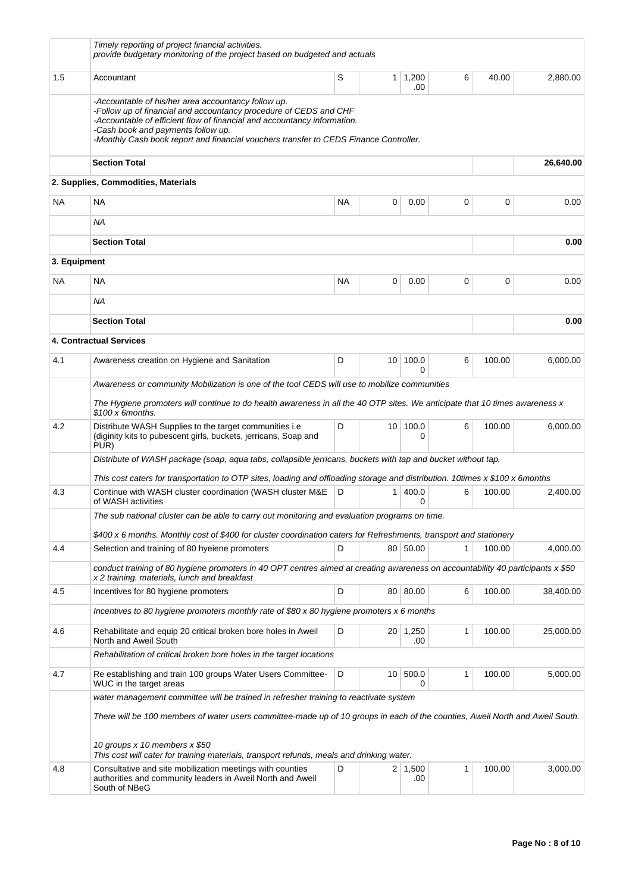|              | Timely reporting of project financial activities.<br>provide budgetary monitoring of the project based on budgeted and actuals                                                                                                                                                                                                      |           |                 |                        |   |        |           |
|--------------|-------------------------------------------------------------------------------------------------------------------------------------------------------------------------------------------------------------------------------------------------------------------------------------------------------------------------------------|-----------|-----------------|------------------------|---|--------|-----------|
| 1.5          | Accountant                                                                                                                                                                                                                                                                                                                          | S         |                 | $1 \mid 1,200$<br>.00  | 6 | 40.00  | 2,880.00  |
|              | -Accountable of his/her area accountancy follow up.<br>-Follow up of financial and accountancy procedure of CEDS and CHF<br>-Accountable of efficient flow of financial and accountancy information.<br>-Cash book and payments follow up.<br>-Monthly Cash book report and financial vouchers transfer to CEDS Finance Controller. |           |                 |                        |   |        |           |
|              | <b>Section Total</b>                                                                                                                                                                                                                                                                                                                |           |                 |                        |   |        | 26,640.00 |
|              | 2. Supplies, Commodities, Materials                                                                                                                                                                                                                                                                                                 |           |                 |                        |   |        |           |
| <b>NA</b>    | <b>NA</b>                                                                                                                                                                                                                                                                                                                           | <b>NA</b> | 0               | 0.00                   | 0 | 0      | 0.00      |
|              | ΝA                                                                                                                                                                                                                                                                                                                                  |           |                 |                        |   |        |           |
|              | <b>Section Total</b>                                                                                                                                                                                                                                                                                                                |           |                 |                        |   |        | 0.00      |
| 3. Equipment |                                                                                                                                                                                                                                                                                                                                     |           |                 |                        |   |        |           |
| <b>NA</b>    | NA                                                                                                                                                                                                                                                                                                                                  | <b>NA</b> | 0               | 0.00                   | 0 | 0      | 0.00      |
|              | ΝA                                                                                                                                                                                                                                                                                                                                  |           |                 |                        |   |        |           |
|              | <b>Section Total</b>                                                                                                                                                                                                                                                                                                                |           |                 |                        |   |        | 0.00      |
|              | 4. Contractual Services                                                                                                                                                                                                                                                                                                             |           |                 |                        |   |        |           |
| 4.1          | Awareness creation on Hygiene and Sanitation                                                                                                                                                                                                                                                                                        | D         |                 | 10 100.0<br>0          | 6 | 100.00 | 6,000.00  |
|              | Awareness or community Mobilization is one of the tool CEDS will use to mobilize communities<br>The Hygiene promoters will continue to do health awareness in all the 40 OTP sites. We anticipate that 10 times awareness x<br>\$100 x 6months.                                                                                     |           |                 |                        |   |        |           |
| 4.2          | Distribute WASH Supplies to the target communities i.e<br>(diginity kits to pubescent girls, buckets, jerricans, Soap and<br>PUR)                                                                                                                                                                                                   | D         |                 | 10 100.0<br>0          | 6 | 100.00 | 6,000.00  |
|              | Distribute of WASH package (soap, agua tabs, collapsible jerricans, buckets with tap and bucket without tap.                                                                                                                                                                                                                        |           |                 |                        |   |        |           |
| 4.3          | This cost caters for transportation to OTP sites, loading and offloading storage and distribution. 10times x \$100 x 6months<br>Continue with WASH cluster coordination (WASH cluster M&E<br>of WASH activities                                                                                                                     | D         | $\mathbf{1}$    | 400.0<br>0             | 6 | 100.00 | 2,400.00  |
|              | The sub national cluster can be able to carry out monitoring and evaluation programs on time.                                                                                                                                                                                                                                       |           |                 |                        |   |        |           |
|              | \$400 x 6 months. Monthly cost of \$400 for cluster coordination caters for Refreshments, transport and stationery                                                                                                                                                                                                                  |           |                 |                        |   |        |           |
| 4.4          | Selection and training of 80 hyeiene promoters                                                                                                                                                                                                                                                                                      | D         |                 | 80 50.00               | 1 | 100.00 | 4,000.00  |
|              | conduct training of 80 hygiene promoters in 40 OPT centres aimed at creating awareness on accountability 40 participants x \$50<br>x 2 training. materials, lunch and breakfast                                                                                                                                                     |           |                 |                        |   |        |           |
| 4.5          | Incentives for 80 hygiene promoters                                                                                                                                                                                                                                                                                                 | D         |                 | 80 80.00               | 6 | 100.00 | 38,400.00 |
|              | Incentives to 80 hygiene promoters monthly rate of \$80 x 80 hygiene promoters $x$ 6 months                                                                                                                                                                                                                                         |           |                 |                        |   |        |           |
| 4.6          | Rehabilitate and equip 20 critical broken bore holes in Aweil<br>North and Aweil South                                                                                                                                                                                                                                              | D         |                 | $20 \mid 1,250$<br>.00 | 1 | 100.00 | 25,000.00 |
|              | Rehabilitation of critical broken bore holes in the target locations                                                                                                                                                                                                                                                                |           |                 |                        |   |        |           |
| 4.7          | Re establishing and train 100 groups Water Users Committee-<br>WUC in the target areas                                                                                                                                                                                                                                              | D         | 10 <sup>1</sup> | 500.0<br>0             | 1 | 100.00 | 5,000.00  |
|              | water management committee will be trained in refresher training to reactivate system<br>There will be 100 members of water users committee-made up of 10 groups in each of the counties, Aweil North and Aweil South.<br>10 groups x 10 members x \$50                                                                             |           |                 |                        |   |        |           |
|              | This cost will cater for training materials, transport refunds, meals and drinking water.                                                                                                                                                                                                                                           |           |                 |                        |   |        |           |
| 4.8          | Consultative and site mobilization meetings with counties<br>authorities and community leaders in Aweil North and Aweil<br>South of NBeG                                                                                                                                                                                            | D         |                 | $2 \mid 1,500$<br>.00  | 1 | 100.00 | 3,000.00  |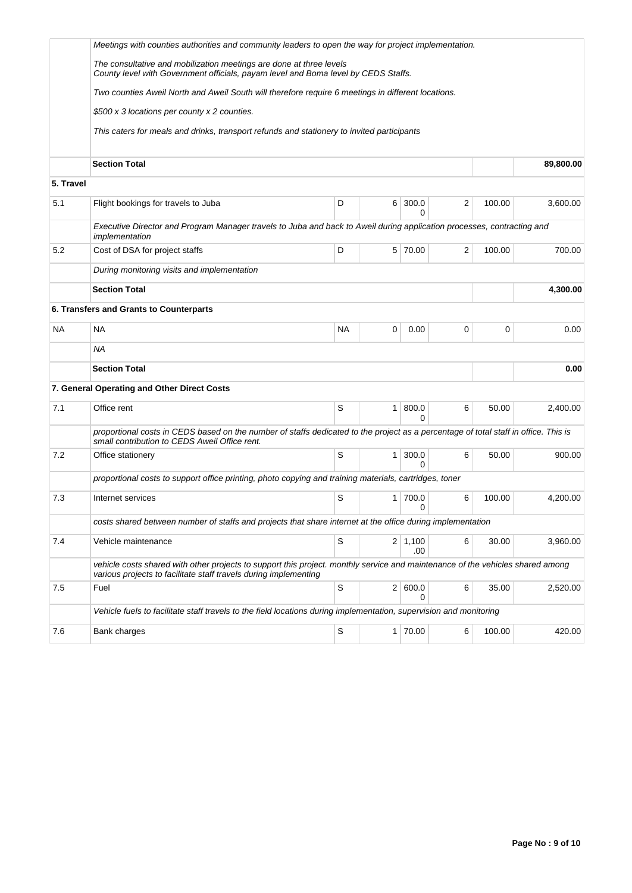|           | Meetings with counties authorities and community leaders to open the way for project implementation.                                                                                               |             |   |                       |   |        |           |  |  |  |
|-----------|----------------------------------------------------------------------------------------------------------------------------------------------------------------------------------------------------|-------------|---|-----------------------|---|--------|-----------|--|--|--|
|           | The consultative and mobilization meetings are done at three levels<br>County level with Government officials, payam level and Boma level by CEDS Staffs.                                          |             |   |                       |   |        |           |  |  |  |
|           | Two counties Aweil North and Aweil South will therefore require 6 meetings in different locations.                                                                                                 |             |   |                       |   |        |           |  |  |  |
|           | \$500 x 3 locations per county x 2 counties.                                                                                                                                                       |             |   |                       |   |        |           |  |  |  |
|           | This caters for meals and drinks, transport refunds and stationery to invited participants                                                                                                         |             |   |                       |   |        |           |  |  |  |
|           | <b>Section Total</b>                                                                                                                                                                               |             |   |                       |   |        | 89,800.00 |  |  |  |
| 5. Travel |                                                                                                                                                                                                    |             |   |                       |   |        |           |  |  |  |
| 5.1       | Flight bookings for travels to Juba                                                                                                                                                                | D           | 6 | 300.0<br>$\Omega$     | 2 | 100.00 | 3,600.00  |  |  |  |
|           | Executive Director and Program Manager travels to Juba and back to Aweil during application processes, contracting and<br>implementation                                                           |             |   |                       |   |        |           |  |  |  |
| 5.2       | Cost of DSA for project staffs                                                                                                                                                                     | D           |   | 5 70.00               | 2 | 100.00 | 700.00    |  |  |  |
|           | During monitoring visits and implementation                                                                                                                                                        |             |   |                       |   |        |           |  |  |  |
|           | <b>Section Total</b>                                                                                                                                                                               |             |   |                       |   |        | 4,300.00  |  |  |  |
|           | 6. Transfers and Grants to Counterparts                                                                                                                                                            |             |   |                       |   |        |           |  |  |  |
| <b>NA</b> | <b>NA</b>                                                                                                                                                                                          | <b>NA</b>   | 0 | 0.00                  | 0 | 0      | 0.00      |  |  |  |
|           | <b>NA</b>                                                                                                                                                                                          |             |   |                       |   |        |           |  |  |  |
|           | <b>Section Total</b>                                                                                                                                                                               |             |   |                       |   |        | 0.00      |  |  |  |
|           | 7. General Operating and Other Direct Costs                                                                                                                                                        |             |   |                       |   |        |           |  |  |  |
| 7.1       | Office rent                                                                                                                                                                                        | S           | 1 | 800.0<br>$\Omega$     | 6 | 50.00  | 2,400.00  |  |  |  |
|           | proportional costs in CEDS based on the number of staffs dedicated to the project as a percentage of total staff in office. This is<br>small contribution to CEDS Aweil Office rent.               |             |   |                       |   |        |           |  |  |  |
| 7.2       | Office stationery                                                                                                                                                                                  | S           | 1 | 300.0<br>$\Omega$     | 6 | 50.00  | 900.00    |  |  |  |
|           | proportional costs to support office printing, photo copying and training materials, cartridges, toner                                                                                             |             |   |                       |   |        |           |  |  |  |
| 7.3       | Internet services                                                                                                                                                                                  | S           | 1 | 700.0<br>0            | 6 | 100.00 | 4.200.00  |  |  |  |
|           | costs shared between number of staffs and projects that share internet at the office during implementation                                                                                         |             |   |                       |   |        |           |  |  |  |
| 7.4       | Vehicle maintenance                                                                                                                                                                                | S           |   | $2 \mid 1,100$<br>.00 | 6 | 30.00  | 3,960.00  |  |  |  |
|           | vehicle costs shared with other projects to support this project. monthly service and maintenance of the vehicles shared among<br>various projects to facilitate staff travels during implementing |             |   |                       |   |        |           |  |  |  |
| 7.5       | Fuel                                                                                                                                                                                               | $\mathsf S$ |   | 2   600.0<br>0        | 6 | 35.00  | 2,520.00  |  |  |  |
|           | Vehicle fuels to facilitate staff travels to the field locations during implementation, supervision and monitoring                                                                                 |             |   |                       |   |        |           |  |  |  |
| 7.6       | Bank charges                                                                                                                                                                                       | S           | 1 | 70.00                 | 6 | 100.00 | 420.00    |  |  |  |